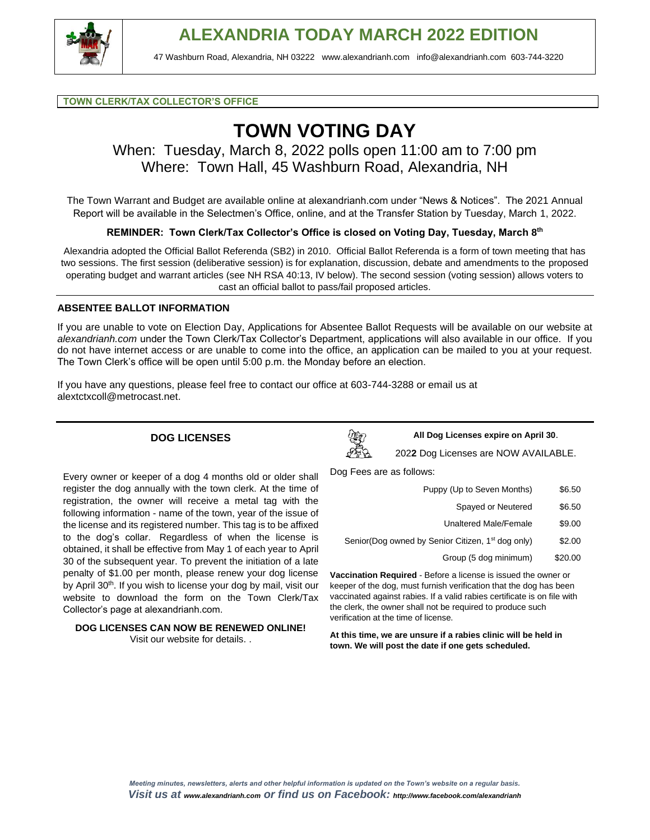

#### **TOWN CLERK/TAX COLLECTOR'S OFFICE**

# **TOWN VOTING DAY**

### When: Tuesday, March 8, 2022 polls open 11:00 am to 7:00 pm Where: Town Hall, 45 Washburn Road, Alexandria, NH

The Town Warrant and Budget are available online at alexandrianh.com under "News & Notices". The 2021 Annual Report will be available in the Selectmen's Office, online, and at the Transfer Station by Tuesday, March 1, 2022.

**REMINDER: Town Clerk/Tax Collector's Office is closed on Voting Day, Tuesday, March 8th**

Alexandria adopted the Official Ballot Referenda (SB2) in 2010. Official Ballot Referenda is a form of town meeting that has two sessions. The first session (deliberative session) is for explanation, discussion, debate and amendments to the proposed operating budget and warrant articles (see NH RSA 40:13, IV below). The second session (voting session) allows voters to cast an official ballot to pass/fail proposed articles.

#### **ABSENTEE BALLOT INFORMATION**

If you are unable to vote on Election Day, Applications for Absentee Ballot Requests will be available on our website at *alexandrianh.com* under the Town Clerk/Tax Collector's Department, applications will also available in our office. If you do not have internet access or are unable to come into the office, an application can be mailed to you at your request. The Town Clerk's office will be open until 5:00 p.m. the Monday before an election.

If you have any questions, please feel free to contact our office at 603-744-3288 or email us at [alextctxcoll@metrocast.net.](mailto:alextctxcoll@metrocast.net)

#### **DOG LICENSES**

Every owner or keeper of a dog 4 months old or older shall register the dog annually with the town clerk. At the time of registration, the owner will receive a metal tag with the following information - name of the town, year of the issue of the license and its registered number. This tag is to be affixed to the dog's collar. Regardless of when the license is obtained, it shall be effective from May 1 of each year to April 30 of the subsequent year. To prevent the initiation of a late penalty of \$1.00 per month, please renew your dog license by April 30<sup>th</sup>. If you wish to license your dog by mail, visit our website to download the form on the Town Clerk/Tax



**All Dog Licenses expire on April 30**.

202**2** Dog Licenses are NOW AVAILABLE.

Dog Fees are as follows:

| Puppy (Up to Seven Months)                                                                                                                     | \$6.50  |
|------------------------------------------------------------------------------------------------------------------------------------------------|---------|
| Spayed or Neutered                                                                                                                             | \$6.50  |
| <b>Unaltered Male/Female</b>                                                                                                                   | \$9.00  |
| Senior(Dog owned by Senior Citizen, 1 <sup>st</sup> dog only)                                                                                  | \$2.00  |
| Group (5 dog minimum)                                                                                                                          | \$20.00 |
| Vaccination Required - Before a license is issued the owner or                                                                                 |         |
| keeper of the dog, must furnish verification that the dog has been<br>vaccinated against rabies. If a valid rabies certificate is on file with |         |

keeper of the dog, must furnish verification that the dog has been vaccinated against rabies. If a valid rabies certificate is on file with the clerk, the owner shall not be required to produce such verification at the time of license.

**At this time, we are unsure if a rabies clinic will be held in town. We will post the date if one gets scheduled.**

**DOG LICENSES CAN NOW BE RENEWED ONLINE!** Visit our website for details. .

Collector's page at alexandrianh.com.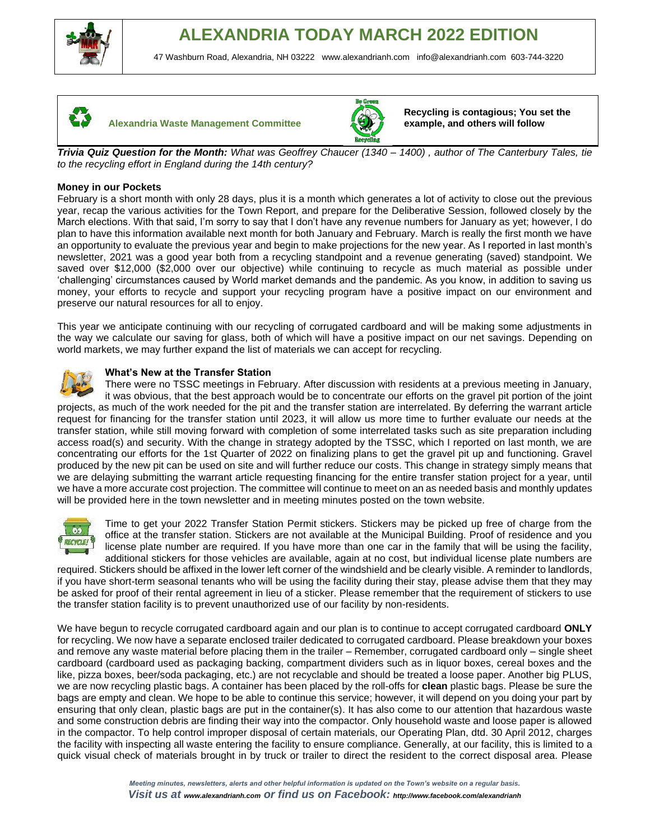





**Recycling is contagious; You set the example, and others will follow**

*Trivia Quiz Question for the Month: What was Geoffrey Chaucer (1340 – 1400) , author of The Canterbury Tales, tie to the recycling effort in England during the 14th century?* 

#### **Money in our Pockets**

February is a short month with only 28 days, plus it is a month which generates a lot of activity to close out the previous year, recap the various activities for the Town Report, and prepare for the Deliberative Session, followed closely by the March elections. With that said, I'm sorry to say that I don't have any revenue numbers for January as yet; however, I do plan to have this information available next month for both January and February. March is really the first month we have an opportunity to evaluate the previous year and begin to make projections for the new year. As I reported in last month's newsletter, 2021 was a good year both from a recycling standpoint and a revenue generating (saved) standpoint. We saved over \$12,000 (\$2,000 over our objective) while continuing to recycle as much material as possible under 'challenging' circumstances caused by World market demands and the pandemic. As you know, in addition to saving us money, your efforts to recycle and support your recycling program have a positive impact on our environment and preserve our natural resources for all to enjoy.

This year we anticipate continuing with our recycling of corrugated cardboard and will be making some adjustments in the way we calculate our saving for glass, both of which will have a positive impact on our net savings. Depending on world markets, we may further expand the list of materials we can accept for recycling.



#### **What's New at the Transfer Station**

There were no TSSC meetings in February. After discussion with residents at a previous meeting in January, it was obvious, that the best approach would be to concentrate our efforts on the gravel pit portion of the joint projects, as much of the work needed for the pit and the transfer station are interrelated. By deferring the warrant article request for financing for the transfer station until 2023, it will allow us more time to further evaluate our needs at the transfer station, while still moving forward with completion of some interrelated tasks such as site preparation including access road(s) and security. With the change in strategy adopted by the TSSC, which I reported on last month, we are concentrating our efforts for the 1st Quarter of 2022 on finalizing plans to get the gravel pit up and functioning. Gravel produced by the new pit can be used on site and will further reduce our costs. This change in strategy simply means that we are delaying submitting the warrant article requesting financing for the entire transfer station project for a year, until we have a more accurate cost projection. The committee will continue to meet on an as needed basis and monthly updates will be provided here in the town newsletter and in meeting minutes posted on the town website.



Time to get your 2022 Transfer Station Permit stickers. Stickers may be picked up free of charge from the office at the transfer station. Stickers are not available at the Municipal Building. Proof of residence and you license plate number are required. If you have more than one car in the family that will be using the facility, additional stickers for those vehicles are available, again at no cost, but individual license plate numbers are

required. Stickers should be affixed in the lower left corner of the windshield and be clearly visible. A reminder to landlords, if you have short-term seasonal tenants who will be using the facility during their stay, please advise them that they may be asked for proof of their rental agreement in lieu of a sticker. Please remember that the requirement of stickers to use the transfer station facility is to prevent unauthorized use of our facility by non-residents.

We have begun to recycle corrugated cardboard again and our plan is to continue to accept corrugated cardboard **ONLY**  for recycling. We now have a separate enclosed trailer dedicated to corrugated cardboard. Please breakdown your boxes and remove any waste material before placing them in the trailer – Remember, corrugated cardboard only – single sheet cardboard (cardboard used as packaging backing, compartment dividers such as in liquor boxes, cereal boxes and the like, pizza boxes, beer/soda packaging, etc.) are not recyclable and should be treated a loose paper. Another big PLUS, we are now recycling plastic bags. A container has been placed by the roll-offs for **clean** plastic bags. Please be sure the bags are empty and clean. We hope to be able to continue this service; however, it will depend on you doing your part by ensuring that only clean, plastic bags are put in the container(s). It has also come to our attention that hazardous waste and some construction debris are finding their way into the compactor. Only household waste and loose paper is allowed in the compactor. To help control improper disposal of certain materials, our Operating Plan, dtd. 30 April 2012, charges the facility with inspecting all waste entering the facility to ensure compliance. Generally, at our facility, this is limited to a quick visual check of materials brought in by truck or trailer to direct the resident to the correct disposal area. Please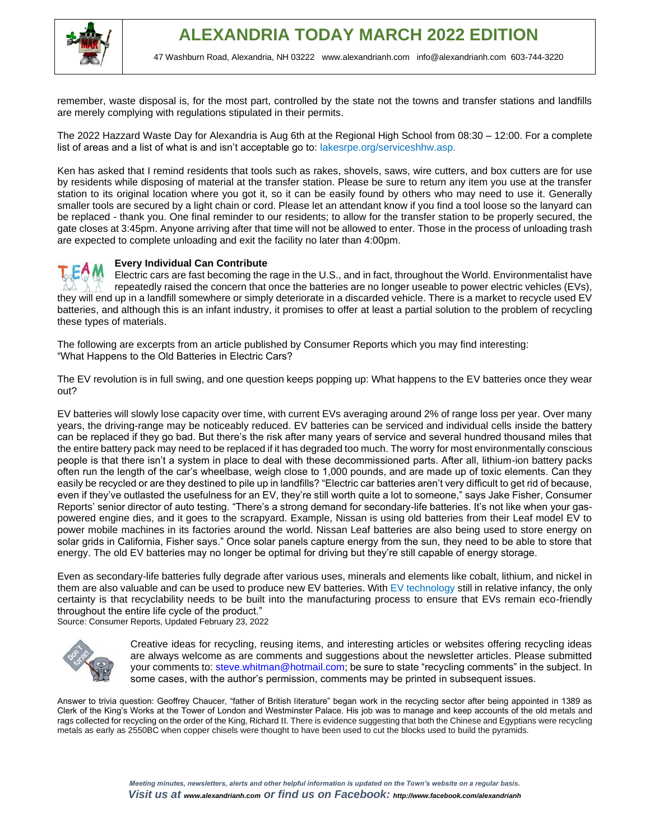

remember, waste disposal is, for the most part, controlled by the state not the towns and transfer stations and landfills are merely complying with regulations stipulated in their permits.

The 2022 Hazzard Waste Day for Alexandria is Aug 6th at the Regional High School from 08:30 – 12:00. For a complete list of areas and a list of what is and isn't acceptable go to: lakesrpe.org/serviceshhw.asp.

Ken has asked that I remind residents that tools such as rakes, shovels, saws, wire cutters, and box cutters are for use by residents while disposing of material at the transfer station. Please be sure to return any item you use at the transfer station to its original location where you got it, so it can be easily found by others who may need to use it. Generally smaller tools are secured by a light chain or cord. Please let an attendant know if you find a tool loose so the lanyard can be replaced - thank you. One final reminder to our residents; to allow for the transfer station to be properly secured, the gate closes at 3:45pm. Anyone arriving after that time will not be allowed to enter. Those in the process of unloading trash are expected to complete unloading and exit the facility no later than 4:00pm.

#### **Every Individual Can Contribute**

Electric cars are fast becoming the rage in the U.S., and in fact, throughout the World. Environmentalist have repeatedly raised the concern that once the batteries are no longer useable to power electric vehicles (EVs), they will end up in a landfill somewhere or simply deteriorate in a discarded vehicle. There is a market to recycle used EV batteries, and although this is an infant industry, it promises to offer at least a partial solution to the problem of recycling these types of materials.

The following are excerpts from an article published by Consumer Reports which you may find interesting: "What Happens to the Old Batteries in Electric Cars?

The EV revolution is in full swing, and one question keeps popping up: What happens to the EV batteries once they wear out?

EV batteries will slowly lose capacity over time, with current EVs averaging around 2% of range loss per year. Over many years, the driving-range may be noticeably reduced. EV batteries can be serviced and individual cells inside the battery can be replaced if they go bad. But there's the risk after many years of service and several hundred thousand miles that the entire battery pack may need to be replaced if it has degraded too much. The worry for most environmentally conscious people is that there isn't a system in place to deal with these decommissioned parts. After all, lithium-ion battery packs often run the length of the car's wheelbase, weigh close to 1,000 pounds, and are made up of toxic elements. Can they easily be recycled or are they destined to pile up in landfills? "Electric car batteries aren't very difficult to get rid of because, even if they've outlasted the usefulness for an EV, they're still worth quite a lot to someone," says Jake Fisher, Consumer Reports' senior director of auto testing. "There's a strong demand for secondary-life batteries. It's not like when your gaspowered engine dies, and it goes to the scrapyard. Example, Nissan is using old batteries from their Leaf model EV to power mobile machines in its factories around the world. Nissan Leaf batteries are also being used to store energy on solar grids in California, Fisher says." Once solar panels capture energy from the sun, they need to be able to store that energy. The old EV batteries may no longer be optimal for driving but they're still capable of energy storage.

Even as secondary-life batteries fully degrade after various uses, minerals and elements like cobalt, lithium, and nickel in them are also valuable and can be used to produce new EV batteries. With EV technology still in relative infancy, the only certainty is that recyclability needs to be built into the manufacturing process to ensure that EVs remain eco-friendly throughout the entire life cycle of the product."

Source: Consumer Reports, Updated February 23, 2022



Creative ideas for recycling, reusing items, and interesting articles or websites offering recycling ideas are always welcome as are comments and suggestions about the newsletter articles. Please submitted your comments to: steve.whitman@hotmail.com; be sure to state "recycling comments" in the subject. In some cases, with the author's permission, comments may be printed in subsequent issues.

Answer to trivia question: Geoffrey Chaucer, "father of British literature" began work in the recycling sector after being appointed in 1389 as Clerk of the King's Works at the Tower of London and Westminster Palace. His job was to manage and keep accounts of the old metals and rags collected for recycling on the order of the King, Richard II. There is evidence suggesting that both the Chinese and Egyptians were recycling metals as early as 2550BC when copper chisels were thought to have been used to cut the blocks used to build the pyramids.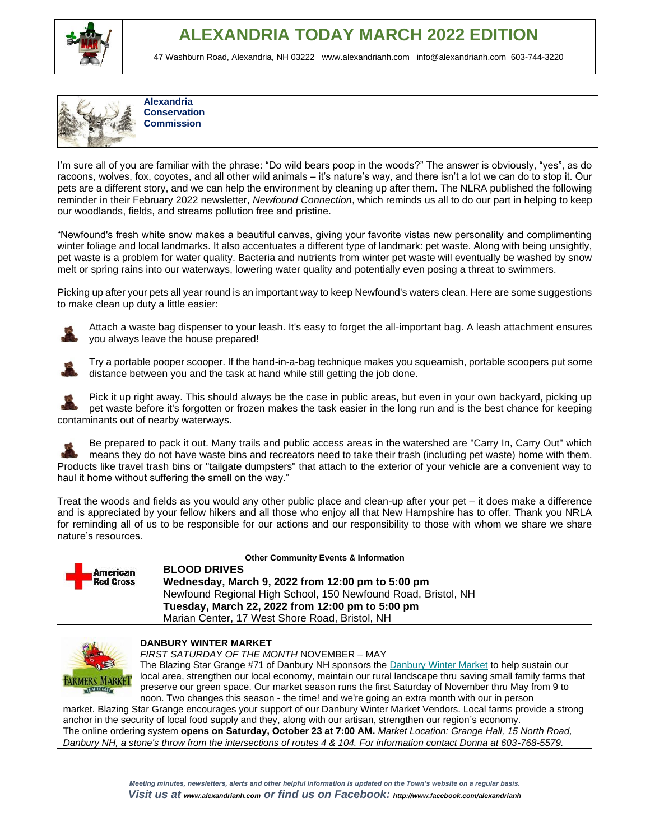

## **ALEXANDRIA TODAY MARCH 2022 EDITION**

47 Washburn Road, Alexandria, NH 03222 [www.alexandrianh.com](http://www.alexandrianh.com/) info@alexandrianh.com 603-744-3220



**Alexandria Conservation Commission**

I'm sure all of you are familiar with the phrase: "Do wild bears poop in the woods?" The answer is obviously, "yes", as do racoons, wolves, fox, coyotes, and all other wild animals – it's nature's way, and there isn't a lot we can do to stop it. Our pets are a different story, and we can help the environment by cleaning up after them. The NLRA published the following reminder in their February 2022 newsletter, *Newfound Connection*, which reminds us all to do our part in helping to keep our woodlands, fields, and streams pollution free and pristine.

"Newfound's fresh white snow makes a beautiful canvas, giving your favorite vistas new personality and complimenting winter foliage and local landmarks. It also accentuates a different type of landmark: pet waste. Along with being unsightly, pet waste is a problem for water quality. Bacteria and nutrients from winter pet waste will eventually be washed by snow melt or spring rains into our waterways, lowering water quality and potentially even posing a threat to swimmers.

Picking up after your pets all year round is an important way to keep Newfound's waters clean. Here are some suggestions to make clean up duty a little easier:



Attach a waste bag dispenser to your leash. It's easy to forget the all-important bag. A leash attachment ensures you always leave the house prepared!



Try a portable pooper scooper. If the hand-in-a-bag technique makes you squeamish, portable scoopers put some distance between you and the task at hand while still getting the job done.

Pick it up right away. This should always be the case in public areas, but even in your own backyard, picking up pet waste before it's forgotten or frozen makes the task easier in the long run and is the best chance for keeping contaminants out of nearby waterways.

Be prepared to pack it out. Many trails and public access areas in the watershed are "Carry In, Carry Out" which means they do not have waste bins and recreators need to take their trash (including pet waste) home with them. Products like travel trash bins or "tailgate dumpsters" that attach to the exterior of your vehicle are a convenient way to haul it home without suffering the smell on the way."

Treat the woods and fields as you would any other public place and clean-up after your pet – it does make a difference and is appreciated by your fellow hikers and all those who enjoy all that New Hampshire has to offer. Thank you NRLA for reminding all of us to be responsible for our actions and our responsibility to those with whom we share we share nature's resources.



**Other Community Events & Information**

**BLOOD DRIVES Wednesday, March 9, 2022 from 12:00 pm to 5:00 pm** Newfound Regional High School, 150 Newfound Road, Bristol, NH **Tuesday, March 22, 2022 from 12:00 pm to 5:00 pm** Marian Center, 17 West Shore Road, Bristol, NH



#### **DANBURY WINTER MARKET**

*FIRST SATURDAY OF THE MONTH* NOVEMBER – MAY

The Blazing Star Grange #71 of Danbury NH sponsors the [Danbury Winter Market](https://harvesttomarket.com/farmers-market/Danbury-Winter-Market) to help sustain our local area, strengthen our local economy, maintain our rural landscape thru saving small family farms that preserve our green space. Our market season runs the first Saturday of November thru May from 9 to noon. Two changes this season - the time! and we're going an extra month with our in person

market. Blazing Star Grange encourages your support of our Danbury Winter Market Vendors. Local farms provide a strong anchor in the security of local food supply and they, along with our artisan, strengthen our region's economy. [The online ordering system](https://harvesttomarket.com/farmers-market/Danbury-Winter-Market) **opens on Saturday, October 23 at 7:00 AM.** *Market Location: Grange Hall, 15 North Road, Danbury NH, a stone's throw from the intersections of routes 4 & 104. For information contact Donna at 603-768-5579.*